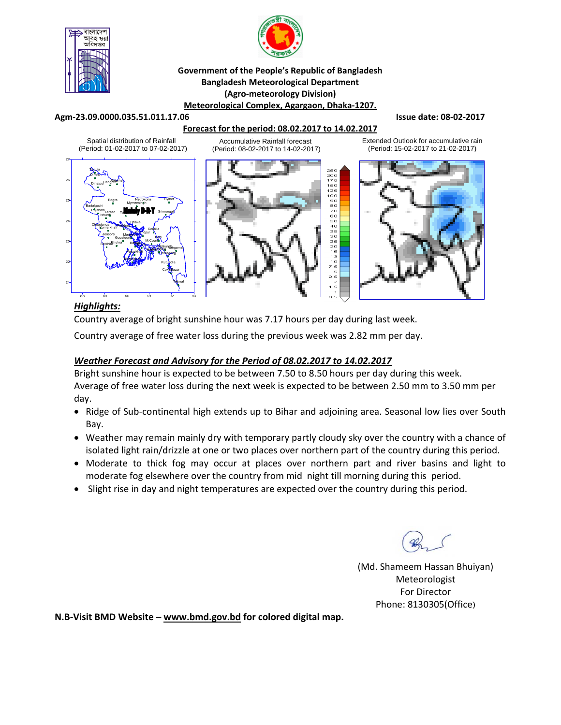



#### **Government of the People's Republic of Bangladesh Bangladesh Meteorological Department (Agro‐meteorology Division) Meteorological Complex, Agargaon, Dhaka‐1207.**

#### **Agm‐23.09.0000.035.51.011.17.06 Issue date: 08‐02‐2017**

### **Forecast for the period: 08.02.2017 to 14.02.2017**





Extended Outlook for accumulative rain (Period: 15-02-2017 to 21-02-2017)



## *Highlights:*

Country average of bright sunshine hour was 7.17 hours per day during last week.

Country average of free water loss during the previous week was 2.82 mm per day.

## *Weather Forecast and Advisory for the Period of 08.02.2017 to 14.02.2017*

Bright sunshine hour is expected to be between 7.50 to 8.50 hours per day during this week. Average of free water loss during the next week is expected to be between 2.50 mm to 3.50 mm per day.

- Ridge of Sub-continental high extends up to Bihar and adjoining area. Seasonal low lies over South Bay.
- Weather may remain mainly dry with temporary partly cloudy sky over the country with a chance of isolated light rain/drizzle at one or two places over northern part of the country during this period.
- Moderate to thick fog may occur at places over northern part and river basins and light to moderate fog elsewhere over the country from mid night till morning during this period.
- Slight rise in day and night temperatures are expected over the country during this period.

(Md. Shameem Hassan Bhuiyan) Meteorologist For Director Phone: 8130305(Office)

**N.B‐Visit BMD Website – www.bmd.gov.bd for colored digital map.**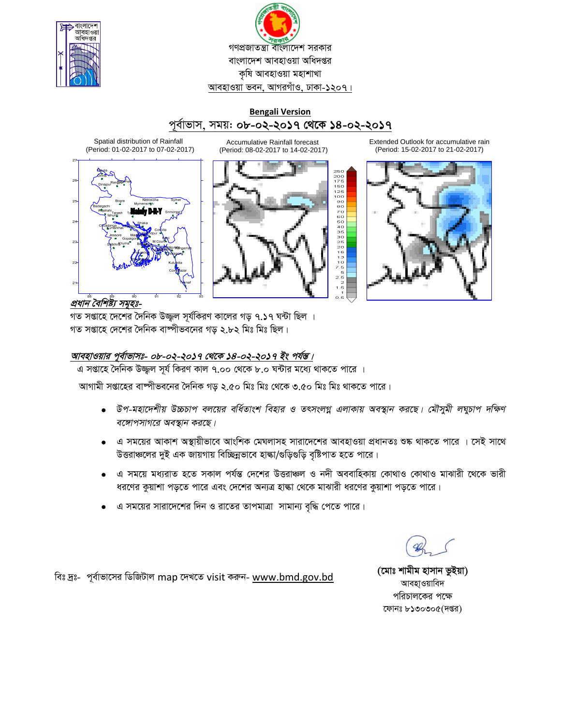

গণপ্রজাতন্ত্রা বাংলাদেশ সরকার বাংলাদেশ আবহাওয়া অধিদপ্তর কৃষি আবহাওয়া মহাশাখা আবহাওয়া ভবন, আগরগাঁও, ঢাকা-১২০৭।

# **Bengali Version** পূৰ্বাভাস, সময়: ob-o২-২০**১৭ থেকে ১৪**-০২-২০**১৭**

Spatial distribution of Rainfall (Period: 01-02-2017 to 07-02-2017)



Accumulative Rainfall forecast (Period: 08-02-2017 to 14-02-2017)



Extended Outlook for accumulative rain (Period: 15-02-2017 to 21-02-2017)



*প্রধান বৈশিষ্ট্য সমূহঃ-*

গত সপ্তাহে দেশের দৈনিক উজ্জল সূর্যকিরণ কালের গড় ৭.১৭ ঘন্টা ছিল । গত সপ্তাহে দেশের দৈনিক বাষ্পীভবনের গড় ২.৮২ মিঃ মিঃ ছিল।

## <u>আবহাওয়ার পূর্বাভাসঃ- ০৮-০২-২০১৭ থেকে ১৪-০২-২০১৭ ইং পর্যন্ত।</u>

এ সপ্তাহে দৈনিক উজ্জুল সূৰ্য কিরণ কাল ৭.০০ থেকে ৮.০ ঘন্টার মধ্যে থাকতে পারে ।

আগামী সপ্তাহের বাষ্পীভবনের দৈনিক গড় ২.৫০ মিঃ মিঃ থেকে ৩.৫০ মিঃ মিঃ থাকতে পারে।

- $\bullet$  উপ-মহাদেশীয় উচ্চচাপ বলয়ের বর্ধিতাংশ বিহার ও তৎসংলগ্ন এলাকায় অবস্থান করছে। মৌসুমী লঘুচাপ দক্ষিণ *বঙ্গোপসাগরে অবস্থান করছে।*
- এ সময়ের আকাশ অস্থায়ীভাবে আংশিক মেঘলাসহ সারাদেশের আবহাওয়া প্রধানতঃ শুষ্ক থাকতে পারে । সেই সাথে উত্তরাঞ্চলের দুই এক জায়গায় বিচ্ছিন্নভাবে হাঙ্কা/গুড়িগুড়ি বৃষ্টিপাত হতে পারে।
- এ সময়ে মধ্যরাত হতে সকাল পর্যন্ত দেশের উত্তরাঞ্চল ও নদী অববাহিকায় কোথাও কোথাও মাঝারী থেকে ভারী ধরণের কুয়াশা পড়তে পারে এবং দেশের অন্যত্র হাল্কা থেকে মাঝারী ধরণের কুয়াশা পড়তে পারে।
- এ সময়ের সারাদেশের দিন ও রাতের তাপমাত্রা সামান্য বৃদ্ধি পেতে পারে।

wet `ªt- c~e©vfv‡mi wWwRUvj map ‡`L‡Z visit Kiæb- www.bmd.gov.bd **(‡gvt kvgxg nvmvb fzBqv)** 

আবহাওয়াবিদ পরিচালকের পক্ষে ফোনঃ  $b$ ১৩০৩০ $c($ দপ্তর)